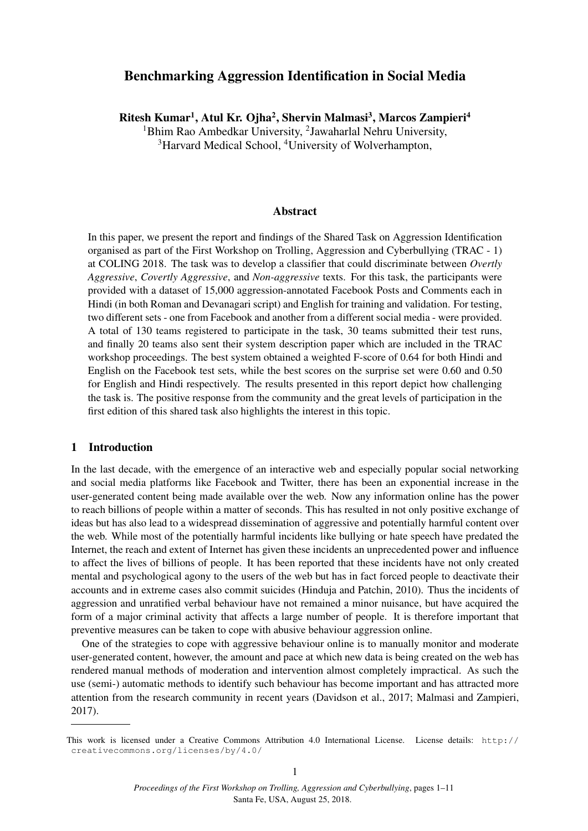# Benchmarking Aggression Identification in Social Media

Ritesh Kumar<sup>1</sup>, Atul Kr. Ojha<sup>2</sup>, Shervin Malmasi<sup>3</sup>, Marcos Zampieri<sup>4</sup>

<sup>1</sup>Bhim Rao Ambedkar University, <sup>2</sup>Jawaharlal Nehru University, <sup>3</sup>Harvard Medical School, <sup>4</sup>University of Wolverhampton,

### Abstract

In this paper, we present the report and findings of the Shared Task on Aggression Identification organised as part of the First Workshop on Trolling, Aggression and Cyberbullying (TRAC - 1) at COLING 2018. The task was to develop a classifier that could discriminate between *Overtly Aggressive*, *Covertly Aggressive*, and *Non-aggressive* texts. For this task, the participants were provided with a dataset of 15,000 aggression-annotated Facebook Posts and Comments each in Hindi (in both Roman and Devanagari script) and English for training and validation. For testing, two different sets - one from Facebook and another from a different social media - were provided. A total of 130 teams registered to participate in the task, 30 teams submitted their test runs, and finally 20 teams also sent their system description paper which are included in the TRAC workshop proceedings. The best system obtained a weighted F-score of 0.64 for both Hindi and English on the Facebook test sets, while the best scores on the surprise set were 0.60 and 0.50 for English and Hindi respectively. The results presented in this report depict how challenging the task is. The positive response from the community and the great levels of participation in the first edition of this shared task also highlights the interest in this topic.

#### 1 Introduction

In the last decade, with the emergence of an interactive web and especially popular social networking and social media platforms like Facebook and Twitter, there has been an exponential increase in the user-generated content being made available over the web. Now any information online has the power to reach billions of people within a matter of seconds. This has resulted in not only positive exchange of ideas but has also lead to a widespread dissemination of aggressive and potentially harmful content over the web. While most of the potentially harmful incidents like bullying or hate speech have predated the Internet, the reach and extent of Internet has given these incidents an unprecedented power and influence to affect the lives of billions of people. It has been reported that these incidents have not only created mental and psychological agony to the users of the web but has in fact forced people to deactivate their accounts and in extreme cases also commit suicides (Hinduja and Patchin, 2010). Thus the incidents of aggression and unratified verbal behaviour have not remained a minor nuisance, but have acquired the form of a major criminal activity that affects a large number of people. It is therefore important that preventive measures can be taken to cope with abusive behaviour aggression online.

One of the strategies to cope with aggressive behaviour online is to manually monitor and moderate user-generated content, however, the amount and pace at which new data is being created on the web has rendered manual methods of moderation and intervention almost completely impractical. As such the use (semi-) automatic methods to identify such behaviour has become important and has attracted more attention from the research community in recent years (Davidson et al., 2017; Malmasi and Zampieri, 2017).

This work is licensed under a Creative Commons Attribution 4.0 International License. License details: http:// creativecommons.org/licenses/by/4.0/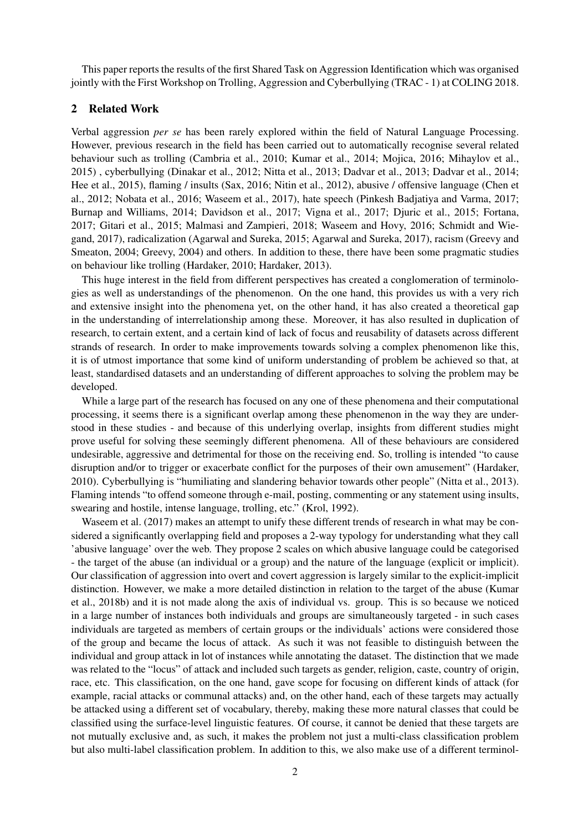This paper reports the results of the first Shared Task on Aggression Identification which was organised jointly with the First Workshop on Trolling, Aggression and Cyberbullying (TRAC - 1) at COLING 2018.

#### 2 Related Work

Verbal aggression *per se* has been rarely explored within the field of Natural Language Processing. However, previous research in the field has been carried out to automatically recognise several related behaviour such as trolling (Cambria et al., 2010; Kumar et al., 2014; Mojica, 2016; Mihaylov et al., 2015) , cyberbullying (Dinakar et al., 2012; Nitta et al., 2013; Dadvar et al., 2013; Dadvar et al., 2014; Hee et al., 2015), flaming / insults (Sax, 2016; Nitin et al., 2012), abusive / offensive language (Chen et al., 2012; Nobata et al., 2016; Waseem et al., 2017), hate speech (Pinkesh Badjatiya and Varma, 2017; Burnap and Williams, 2014; Davidson et al., 2017; Vigna et al., 2017; Djuric et al., 2015; Fortana, 2017; Gitari et al., 2015; Malmasi and Zampieri, 2018; Waseem and Hovy, 2016; Schmidt and Wiegand, 2017), radicalization (Agarwal and Sureka, 2015; Agarwal and Sureka, 2017), racism (Greevy and Smeaton, 2004; Greevy, 2004) and others. In addition to these, there have been some pragmatic studies on behaviour like trolling (Hardaker, 2010; Hardaker, 2013).

This huge interest in the field from different perspectives has created a conglomeration of terminologies as well as understandings of the phenomenon. On the one hand, this provides us with a very rich and extensive insight into the phenomena yet, on the other hand, it has also created a theoretical gap in the understanding of interrelationship among these. Moreover, it has also resulted in duplication of research, to certain extent, and a certain kind of lack of focus and reusability of datasets across different strands of research. In order to make improvements towards solving a complex phenomenon like this, it is of utmost importance that some kind of uniform understanding of problem be achieved so that, at least, standardised datasets and an understanding of different approaches to solving the problem may be developed.

While a large part of the research has focused on any one of these phenomena and their computational processing, it seems there is a significant overlap among these phenomenon in the way they are understood in these studies - and because of this underlying overlap, insights from different studies might prove useful for solving these seemingly different phenomena. All of these behaviours are considered undesirable, aggressive and detrimental for those on the receiving end. So, trolling is intended "to cause disruption and/or to trigger or exacerbate conflict for the purposes of their own amusement" (Hardaker, 2010). Cyberbullying is "humiliating and slandering behavior towards other people" (Nitta et al., 2013). Flaming intends "to offend someone through e-mail, posting, commenting or any statement using insults, swearing and hostile, intense language, trolling, etc." (Krol, 1992).

Waseem et al. (2017) makes an attempt to unify these different trends of research in what may be considered a significantly overlapping field and proposes a 2-way typology for understanding what they call 'abusive language' over the web. They propose 2 scales on which abusive language could be categorised - the target of the abuse (an individual or a group) and the nature of the language (explicit or implicit). Our classification of aggression into overt and covert aggression is largely similar to the explicit-implicit distinction. However, we make a more detailed distinction in relation to the target of the abuse (Kumar et al., 2018b) and it is not made along the axis of individual vs. group. This is so because we noticed in a large number of instances both individuals and groups are simultaneously targeted - in such cases individuals are targeted as members of certain groups or the individuals' actions were considered those of the group and became the locus of attack. As such it was not feasible to distinguish between the individual and group attack in lot of instances while annotating the dataset. The distinction that we made was related to the "locus" of attack and included such targets as gender, religion, caste, country of origin, race, etc. This classification, on the one hand, gave scope for focusing on different kinds of attack (for example, racial attacks or communal attacks) and, on the other hand, each of these targets may actually be attacked using a different set of vocabulary, thereby, making these more natural classes that could be classified using the surface-level linguistic features. Of course, it cannot be denied that these targets are not mutually exclusive and, as such, it makes the problem not just a multi-class classification problem but also multi-label classification problem. In addition to this, we also make use of a different terminol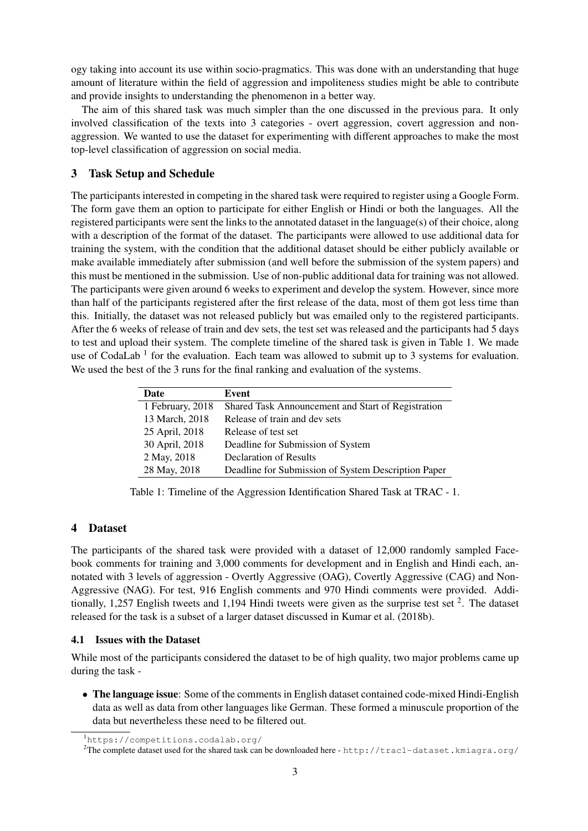ogy taking into account its use within socio-pragmatics. This was done with an understanding that huge amount of literature within the field of aggression and impoliteness studies might be able to contribute and provide insights to understanding the phenomenon in a better way.

The aim of this shared task was much simpler than the one discussed in the previous para. It only involved classification of the texts into 3 categories - overt aggression, covert aggression and nonaggression. We wanted to use the dataset for experimenting with different approaches to make the most top-level classification of aggression on social media.

# 3 Task Setup and Schedule

The participants interested in competing in the shared task were required to register using a Google Form. The form gave them an option to participate for either English or Hindi or both the languages. All the registered participants were sent the links to the annotated dataset in the language(s) of their choice, along with a description of the format of the dataset. The participants were allowed to use additional data for training the system, with the condition that the additional dataset should be either publicly available or make available immediately after submission (and well before the submission of the system papers) and this must be mentioned in the submission. Use of non-public additional data for training was not allowed. The participants were given around 6 weeks to experiment and develop the system. However, since more than half of the participants registered after the first release of the data, most of them got less time than this. Initially, the dataset was not released publicly but was emailed only to the registered participants. After the 6 weeks of release of train and dev sets, the test set was released and the participants had 5 days to test and upload their system. The complete timeline of the shared task is given in Table 1. We made use of CodaLab<sup>1</sup> for the evaluation. Each team was allowed to submit up to 3 systems for evaluation. We used the best of the 3 runs for the final ranking and evaluation of the systems.

| Date             | Event                                               |
|------------------|-----------------------------------------------------|
| 1 February, 2018 | Shared Task Announcement and Start of Registration  |
| 13 March, 2018   | Release of train and dev sets                       |
| 25 April, 2018   | Release of test set                                 |
| 30 April, 2018   | Deadline for Submission of System                   |
| 2 May, 2018      | <b>Declaration of Results</b>                       |
| 28 May, 2018     | Deadline for Submission of System Description Paper |

Table 1: Timeline of the Aggression Identification Shared Task at TRAC - 1.

## 4 Dataset

The participants of the shared task were provided with a dataset of 12,000 randomly sampled Facebook comments for training and 3,000 comments for development and in English and Hindi each, annotated with 3 levels of aggression - Overtly Aggressive (OAG), Covertly Aggressive (CAG) and Non-Aggressive (NAG). For test, 916 English comments and 970 Hindi comments were provided. Additionally, 1,257 English tweets and 1,194 Hindi tweets were given as the surprise test set  $2$ . The dataset released for the task is a subset of a larger dataset discussed in Kumar et al. (2018b).

#### 4.1 Issues with the Dataset

While most of the participants considered the dataset to be of high quality, two major problems came up during the task -

• The language issue: Some of the comments in English dataset contained code-mixed Hindi-English data as well as data from other languages like German. These formed a minuscule proportion of the data but nevertheless these need to be filtered out.

<sup>1</sup>https://competitions.codalab.org/

<sup>&</sup>lt;sup>2</sup>The complete dataset used for the shared task can be downloaded here - http://trac1-dataset.kmiagra.org/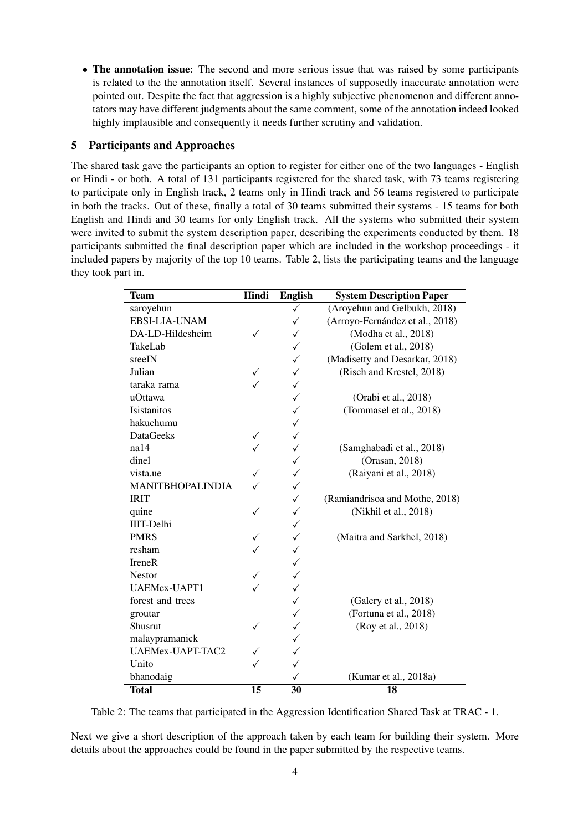• The annotation issue: The second and more serious issue that was raised by some participants is related to the the annotation itself. Several instances of supposedly inaccurate annotation were pointed out. Despite the fact that aggression is a highly subjective phenomenon and different annotators may have different judgments about the same comment, some of the annotation indeed looked highly implausible and consequently it needs further scrutiny and validation.

# 5 Participants and Approaches

The shared task gave the participants an option to register for either one of the two languages - English or Hindi - or both. A total of 131 participants registered for the shared task, with 73 teams registering to participate only in English track, 2 teams only in Hindi track and 56 teams registered to participate in both the tracks. Out of these, finally a total of 30 teams submitted their systems - 15 teams for both English and Hindi and 30 teams for only English track. All the systems who submitted their system were invited to submit the system description paper, describing the experiments conducted by them. 18 participants submitted the final description paper which are included in the workshop proceedings - it included papers by majority of the top 10 teams. Table 2, lists the participating teams and the language they took part in.

| <b>Team</b>             | Hindi | <b>English</b> | <b>System Description Paper</b> |
|-------------------------|-------|----------------|---------------------------------|
| saroyehun               |       | $\checkmark$   | (Aroyehun and Gelbukh, 2018)    |
| EBSI-LIA-UNAM           |       | ✓              | (Arroyo-Fernández et al., 2018) |
| DA-LD-Hildesheim        | ✓     | ✓              | (Modha et al., 2018)            |
| TakeLab                 |       | ✓              | (Golem et al., 2018)            |
| sreeIN                  |       | ✓              | (Madisetty and Desarkar, 2018)  |
| Julian                  | ✓     | $\checkmark$   | (Risch and Krestel, 2018)       |
| taraka_rama             |       | $\checkmark$   |                                 |
| uOttawa                 |       | $\checkmark$   | (Orabi et al., 2018)            |
| Isistanitos             |       | $\checkmark$   | (Tommasel et al., 2018)         |
| hakuchumu               |       | $\checkmark$   |                                 |
| <b>DataGeeks</b>        | ✓     | $\checkmark$   |                                 |
| na14                    |       | $\checkmark$   | (Samghabadi et al., 2018)       |
| dinel                   |       | $\checkmark$   | (Orasan, 2018)                  |
| vista.ue                |       | $\checkmark$   | (Raiyani et al., 2018)          |
| <b>MANITBHOPALINDIA</b> |       | ✓              |                                 |
| <b>IRIT</b>             |       | $\checkmark$   | (Ramiandrisoa and Mothe, 2018)  |
| quine                   | ✓     | $\checkmark$   | (Nikhil et al., 2018)           |
| <b>IIIT-Delhi</b>       |       | $\checkmark$   |                                 |
| <b>PMRS</b>             | ✓     | $\checkmark$   | (Maitra and Sarkhel, 2018)      |
| resham                  |       | $\checkmark$   |                                 |
| <b>IreneR</b>           |       | $\checkmark$   |                                 |
| <b>Nestor</b>           |       | $\checkmark$   |                                 |
| <b>UAEMex-UAPT1</b>     |       | $\checkmark$   |                                 |
| forest_and_trees        |       | $\checkmark$   | (Galery et al., 2018)           |
| groutar                 |       | $\checkmark$   | (Fortuna et al., 2018)          |
| Shusrut                 | ✓     | $\checkmark$   | (Roy et al., 2018)              |
| malaypramanick          |       | ✓              |                                 |
| UAEMex-UAPT-TAC2        |       | $\checkmark$   |                                 |
| Unito                   |       | ✓              |                                 |
| bhanodaig               |       | ✓              | (Kumar et al., 2018a)           |
| <b>Total</b>            | 15    | 30             | 18                              |

Table 2: The teams that participated in the Aggression Identification Shared Task at TRAC - 1.

Next we give a short description of the approach taken by each team for building their system. More details about the approaches could be found in the paper submitted by the respective teams.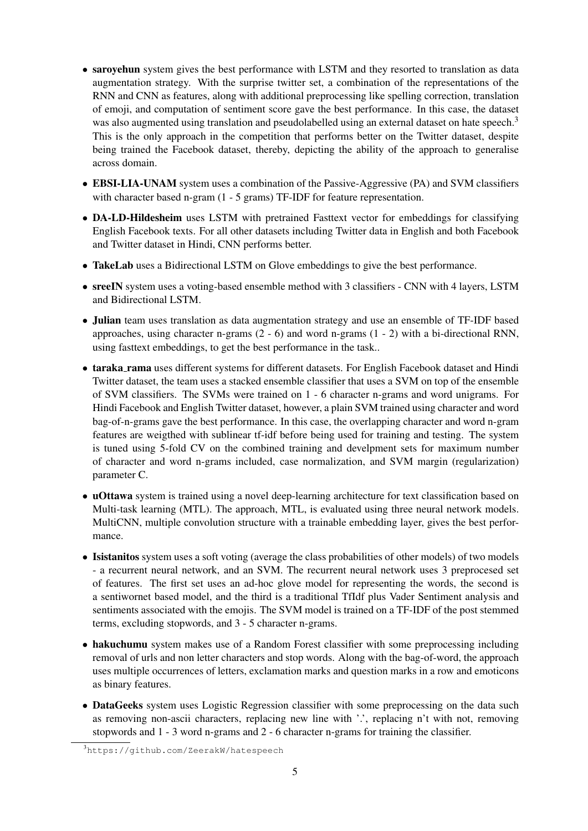- saroyehun system gives the best performance with LSTM and they resorted to translation as data augmentation strategy. With the surprise twitter set, a combination of the representations of the RNN and CNN as features, along with additional preprocessing like spelling correction, translation of emoji, and computation of sentiment score gave the best performance. In this case, the dataset was also augmented using translation and pseudolabelled using an external dataset on hate speech.<sup>3</sup> This is the only approach in the competition that performs better on the Twitter dataset, despite being trained the Facebook dataset, thereby, depicting the ability of the approach to generalise across domain.
- EBSI-LIA-UNAM system uses a combination of the Passive-Aggressive (PA) and SVM classifiers with character based n-gram (1 - 5 grams) TF-IDF for feature representation.
- DA-LD-Hildesheim uses LSTM with pretrained Fasttext vector for embeddings for classifying English Facebook texts. For all other datasets including Twitter data in English and both Facebook and Twitter dataset in Hindi, CNN performs better.
- TakeLab uses a Bidirectional LSTM on Glove embeddings to give the best performance.
- sreeIN system uses a voting-based ensemble method with 3 classifiers CNN with 4 layers, LSTM and Bidirectional LSTM.
- Julian team uses translation as data augmentation strategy and use an ensemble of TF-IDF based approaches, using character n-grams (2 - 6) and word n-grams (1 - 2) with a bi-directional RNN, using fasttext embeddings, to get the best performance in the task..
- taraka rama uses different systems for different datasets. For English Facebook dataset and Hindi Twitter dataset, the team uses a stacked ensemble classifier that uses a SVM on top of the ensemble of SVM classifiers. The SVMs were trained on 1 - 6 character n-grams and word unigrams. For Hindi Facebook and English Twitter dataset, however, a plain SVM trained using character and word bag-of-n-grams gave the best performance. In this case, the overlapping character and word n-gram features are weigthed with sublinear tf-idf before being used for training and testing. The system is tuned using 5-fold CV on the combined training and develpment sets for maximum number of character and word n-grams included, case normalization, and SVM margin (regularization) parameter C.
- uOttawa system is trained using a novel deep-learning architecture for text classification based on Multi-task learning (MTL). The approach, MTL, is evaluated using three neural network models. MultiCNN, multiple convolution structure with a trainable embedding layer, gives the best performance.
- Isistanitos system uses a soft voting (average the class probabilities of other models) of two models - a recurrent neural network, and an SVM. The recurrent neural network uses 3 preprocesed set of features. The first set uses an ad-hoc glove model for representing the words, the second is a sentiwornet based model, and the third is a traditional TfIdf plus Vader Sentiment analysis and sentiments associated with the emojis. The SVM model is trained on a TF-IDF of the post stemmed terms, excluding stopwords, and 3 - 5 character n-grams.
- hakuchumu system makes use of a Random Forest classifier with some preprocessing including removal of urls and non letter characters and stop words. Along with the bag-of-word, the approach uses multiple occurrences of letters, exclamation marks and question marks in a row and emoticons as binary features.
- DataGeeks system uses Logistic Regression classifier with some preprocessing on the data such as removing non-ascii characters, replacing new line with '.', replacing n't with not, removing stopwords and 1 - 3 word n-grams and 2 - 6 character n-grams for training the classifier.

<sup>3</sup>https://github.com/ZeerakW/hatespeech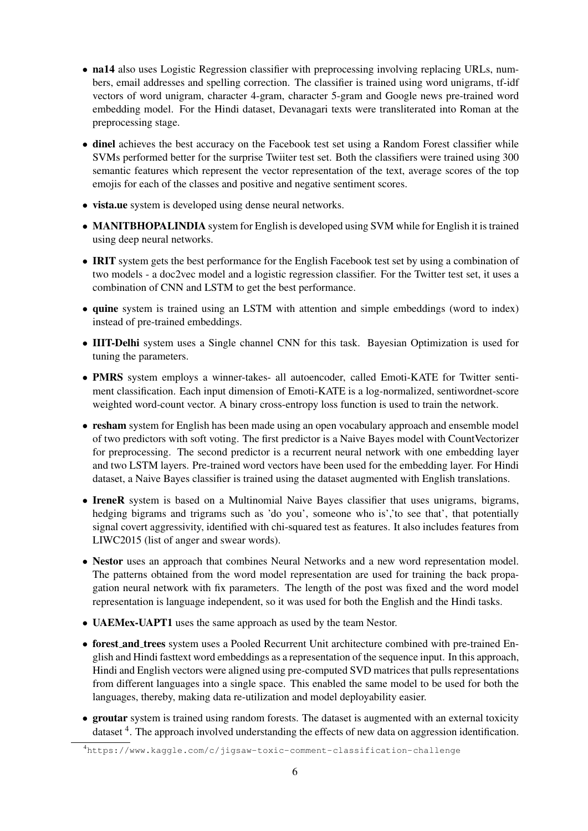- na14 also uses Logistic Regression classifier with preprocessing involving replacing URLs, numbers, email addresses and spelling correction. The classifier is trained using word unigrams, tf-idf vectors of word unigram, character 4-gram, character 5-gram and Google news pre-trained word embedding model. For the Hindi dataset, Devanagari texts were transliterated into Roman at the preprocessing stage.
- dinel achieves the best accuracy on the Facebook test set using a Random Forest classifier while SVMs performed better for the surprise Twiiter test set. Both the classifiers were trained using 300 semantic features which represent the vector representation of the text, average scores of the top emojis for each of the classes and positive and negative sentiment scores.
- vista.ue system is developed using dense neural networks.
- MANITBHOPALINDIA system for English is developed using SVM while for English it is trained using deep neural networks.
- **IRIT** system gets the best performance for the English Facebook test set by using a combination of two models - a doc2vec model and a logistic regression classifier. For the Twitter test set, it uses a combination of CNN and LSTM to get the best performance.
- quine system is trained using an LSTM with attention and simple embeddings (word to index) instead of pre-trained embeddings.
- IIIT-Delhi system uses a Single channel CNN for this task. Bayesian Optimization is used for tuning the parameters.
- PMRS system employs a winner-takes- all autoencoder, called Emoti-KATE for Twitter sentiment classification. Each input dimension of Emoti-KATE is a log-normalized, sentiwordnet-score weighted word-count vector. A binary cross-entropy loss function is used to train the network.
- resham system for English has been made using an open vocabulary approach and ensemble model of two predictors with soft voting. The first predictor is a Naive Bayes model with CountVectorizer for preprocessing. The second predictor is a recurrent neural network with one embedding layer and two LSTM layers. Pre-trained word vectors have been used for the embedding layer. For Hindi dataset, a Naive Bayes classifier is trained using the dataset augmented with English translations.
- IreneR system is based on a Multinomial Naive Bayes classifier that uses unigrams, bigrams, hedging bigrams and trigrams such as 'do you', someone who is', 'to see that', that potentially signal covert aggressivity, identified with chi-squared test as features. It also includes features from LIWC2015 (list of anger and swear words).
- Nestor uses an approach that combines Neural Networks and a new word representation model. The patterns obtained from the word model representation are used for training the back propagation neural network with fix parameters. The length of the post was fixed and the word model representation is language independent, so it was used for both the English and the Hindi tasks.
- UAEMex-UAPT1 uses the same approach as used by the team Nestor.
- forest and trees system uses a Pooled Recurrent Unit architecture combined with pre-trained English and Hindi fasttext word embeddings as a representation of the sequence input. In this approach, Hindi and English vectors were aligned using pre-computed SVD matrices that pulls representations from different languages into a single space. This enabled the same model to be used for both the languages, thereby, making data re-utilization and model deployability easier.
- groutar system is trained using random forests. The dataset is augmented with an external toxicity dataset <sup>4</sup>. The approach involved understanding the effects of new data on aggression identification.

<sup>4</sup>https://www.kaggle.com/c/jigsaw-toxic-comment-classification-challenge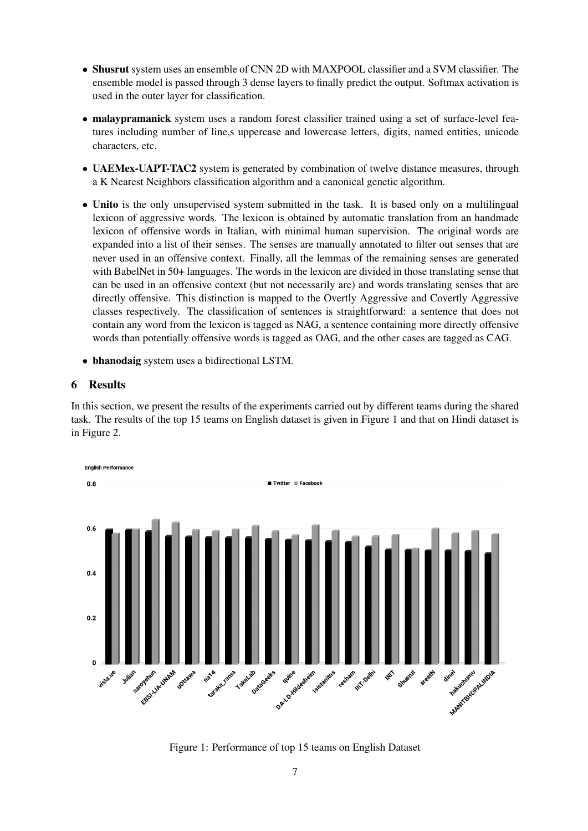- Shusrut system uses an ensemble of CNN 2D with MAXPOOL classifier and a SVM classifier. The ensemble model is passed through 3 dense layers to finally predict the output. Softmax activation is used in the outer layer for classification.
- malaypramanick system uses a random forest classifier trained using a set of surface-level features including number of line,s uppercase and lowercase letters, digits, named entities, unicode characters, etc.
- UAEMex-UAPT-TAC2 system is generated by combination of twelve distance measures, through a K Nearest Neighbors classification algorithm and a canonical genetic algorithm.
- Unito is the only unsupervised system submitted in the task. It is based only on a multilingual lexicon of aggressive words. The lexicon is obtained by automatic translation from an handmade lexicon of offensive words in Italian, with minimal human supervision. The original words are expanded into a list of their senses. The senses are manually annotated to filter out senses that are never used in an offensive context. Finally, all the lemmas of the remaining senses are generated with BabelNet in 50+ languages. The words in the lexicon are divided in those translating sense that can be used in an offensive context (but not necessarily are) and words translating senses that are directly offensive. This distinction is mapped to the Overtly Aggressive and Covertly Aggressive classes respectively. The classification of sentences is straightforward: a sentence that does not contain any word from the lexicon is tagged as NAG, a sentence containing more directly offensive words than potentially offensive words is tagged as OAG, and the other cases are tagged as CAG.
- bhanodaig system uses a bidirectional LSTM.

# 6 Results

In this section, we present the results of the experiments carried out by different teams during the shared task. The results of the top 15 teams on English dataset is given in Figure 1 and that on Hindi dataset is in Figure 2.



Figure 1: Performance of top 15 teams on English Dataset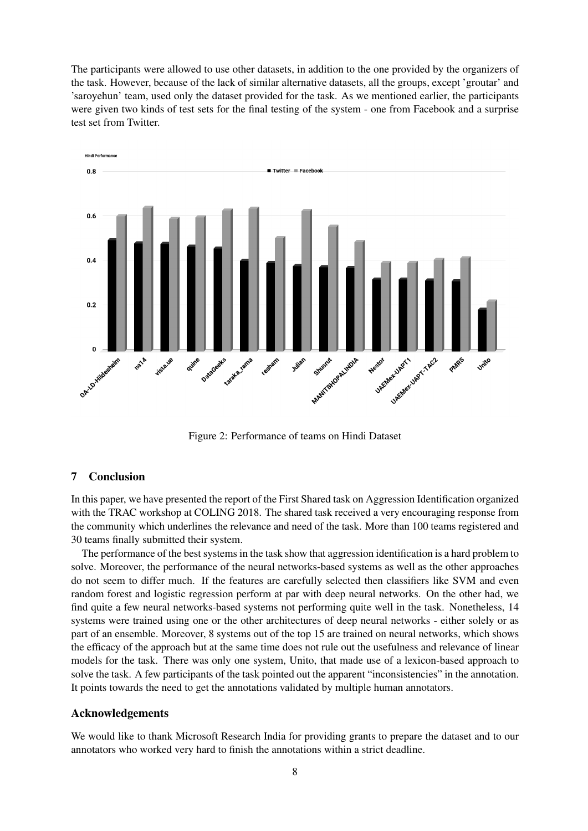The participants were allowed to use other datasets, in addition to the one provided by the organizers of the task. However, because of the lack of similar alternative datasets, all the groups, except 'groutar' and 'saroyehun' team, used only the dataset provided for the task. As we mentioned earlier, the participants were given two kinds of test sets for the final testing of the system - one from Facebook and a surprise test set from Twitter.



Figure 2: Performance of teams on Hindi Dataset

## 7 Conclusion

In this paper, we have presented the report of the First Shared task on Aggression Identification organized with the TRAC workshop at COLING 2018. The shared task received a very encouraging response from the community which underlines the relevance and need of the task. More than 100 teams registered and 30 teams finally submitted their system.

The performance of the best systems in the task show that aggression identification is a hard problem to solve. Moreover, the performance of the neural networks-based systems as well as the other approaches do not seem to differ much. If the features are carefully selected then classifiers like SVM and even random forest and logistic regression perform at par with deep neural networks. On the other had, we find quite a few neural networks-based systems not performing quite well in the task. Nonetheless, 14 systems were trained using one or the other architectures of deep neural networks - either solely or as part of an ensemble. Moreover, 8 systems out of the top 15 are trained on neural networks, which shows the efficacy of the approach but at the same time does not rule out the usefulness and relevance of linear models for the task. There was only one system, Unito, that made use of a lexicon-based approach to solve the task. A few participants of the task pointed out the apparent "inconsistencies" in the annotation. It points towards the need to get the annotations validated by multiple human annotators.

#### Acknowledgements

We would like to thank Microsoft Research India for providing grants to prepare the dataset and to our annotators who worked very hard to finish the annotations within a strict deadline.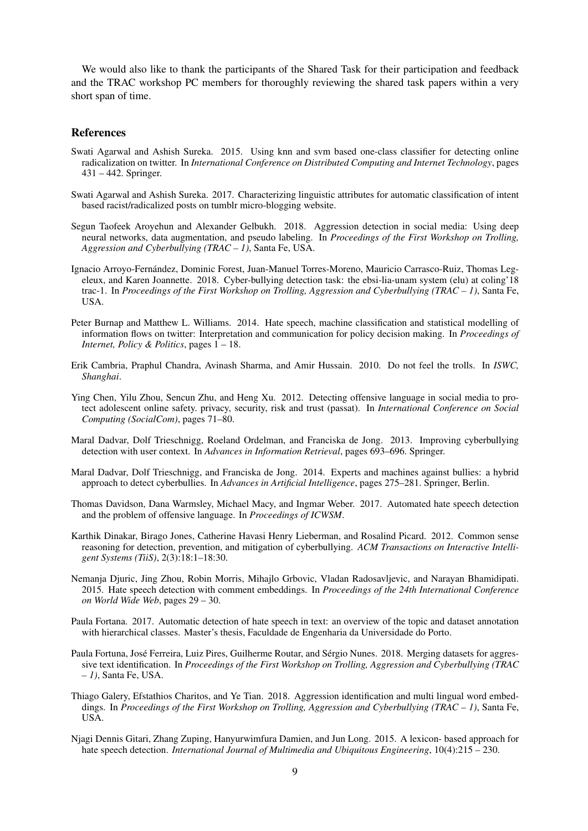We would also like to thank the participants of the Shared Task for their participation and feedback and the TRAC workshop PC members for thoroughly reviewing the shared task papers within a very short span of time.

#### References

- Swati Agarwal and Ashish Sureka. 2015. Using knn and svm based one-class classifier for detecting online radicalization on twitter. In *International Conference on Distributed Computing and Internet Technology*, pages 431 – 442. Springer.
- Swati Agarwal and Ashish Sureka. 2017. Characterizing linguistic attributes for automatic classification of intent based racist/radicalized posts on tumblr micro-blogging website.
- Segun Taofeek Aroyehun and Alexander Gelbukh. 2018. Aggression detection in social media: Using deep neural networks, data augmentation, and pseudo labeling. In *Proceedings of the First Workshop on Trolling, Aggression and Cyberbullying (TRAC – 1)*, Santa Fe, USA.
- Ignacio Arroyo-Fernandez, Dominic Forest, Juan-Manuel Torres-Moreno, Mauricio Carrasco-Ruiz, Thomas Leg- ´ eleux, and Karen Joannette. 2018. Cyber-bullying detection task: the ebsi-lia-unam system (elu) at coling'18 trac-1. In *Proceedings of the First Workshop on Trolling, Aggression and Cyberbullying (TRAC – 1)*, Santa Fe, USA.
- Peter Burnap and Matthew L. Williams. 2014. Hate speech, machine classification and statistical modelling of information flows on twitter: Interpretation and communication for policy decision making. In *Proceedings of Internet, Policy & Politics*, pages 1 – 18.
- Erik Cambria, Praphul Chandra, Avinash Sharma, and Amir Hussain. 2010. Do not feel the trolls. In *ISWC, Shanghai*.
- Ying Chen, Yilu Zhou, Sencun Zhu, and Heng Xu. 2012. Detecting offensive language in social media to protect adolescent online safety. privacy, security, risk and trust (passat). In *International Conference on Social Computing (SocialCom)*, pages 71–80.
- Maral Dadvar, Dolf Trieschnigg, Roeland Ordelman, and Franciska de Jong. 2013. Improving cyberbullying detection with user context. In *Advances in Information Retrieval*, pages 693–696. Springer.
- Maral Dadvar, Dolf Trieschnigg, and Franciska de Jong. 2014. Experts and machines against bullies: a hybrid approach to detect cyberbullies. In *Advances in Artificial Intelligence*, pages 275–281. Springer, Berlin.
- Thomas Davidson, Dana Warmsley, Michael Macy, and Ingmar Weber. 2017. Automated hate speech detection and the problem of offensive language. In *Proceedings of ICWSM*.
- Karthik Dinakar, Birago Jones, Catherine Havasi Henry Lieberman, and Rosalind Picard. 2012. Common sense reasoning for detection, prevention, and mitigation of cyberbullying. *ACM Transactions on Interactive Intelligent Systems (TiiS)*, 2(3):18:1–18:30.
- Nemanja Djuric, Jing Zhou, Robin Morris, Mihajlo Grbovic, Vladan Radosavljevic, and Narayan Bhamidipati. 2015. Hate speech detection with comment embeddings. In *Proceedings of the 24th International Conference on World Wide Web*, pages 29 – 30.
- Paula Fortana. 2017. Automatic detection of hate speech in text: an overview of the topic and dataset annotation with hierarchical classes. Master's thesis, Faculdade de Engenharia da Universidade do Porto.
- Paula Fortuna, José Ferreira, Luiz Pires, Guilherme Routar, and Sérgio Nunes. 2018. Merging datasets for aggressive text identification. In *Proceedings of the First Workshop on Trolling, Aggression and Cyberbullying (TRAC – 1)*, Santa Fe, USA.
- Thiago Galery, Efstathios Charitos, and Ye Tian. 2018. Aggression identification and multi lingual word embeddings. In *Proceedings of the First Workshop on Trolling, Aggression and Cyberbullying (TRAC – 1)*, Santa Fe, USA.
- Njagi Dennis Gitari, Zhang Zuping, Hanyurwimfura Damien, and Jun Long. 2015. A lexicon- based approach for hate speech detection. *International Journal of Multimedia and Ubiquitous Engineering*, 10(4):215 – 230.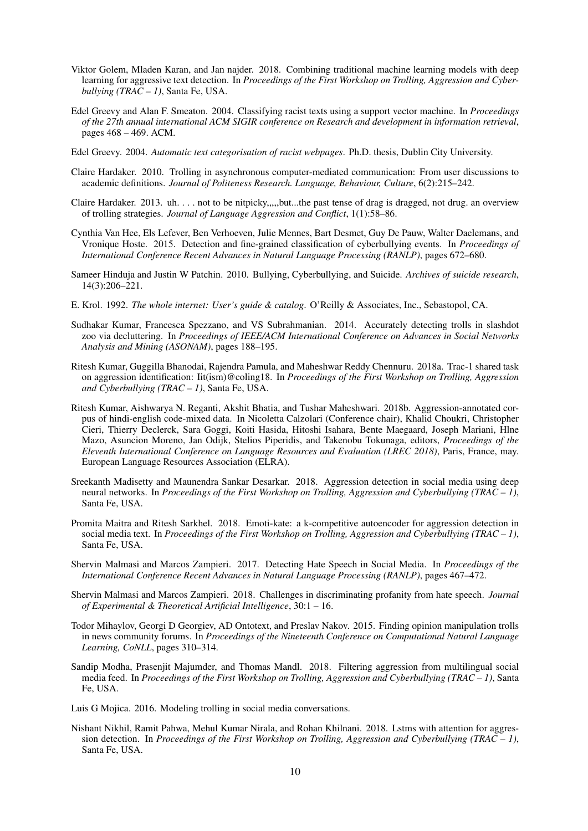- Viktor Golem, Mladen Karan, and Jan najder. 2018. Combining traditional machine learning models with deep learning for aggressive text detection. In *Proceedings of the First Workshop on Trolling, Aggression and Cyberbullying (TRAC – 1)*, Santa Fe, USA.
- Edel Greevy and Alan F. Smeaton. 2004. Classifying racist texts using a support vector machine. In *Proceedings of the 27th annual international ACM SIGIR conference on Research and development in information retrieval*, pages 468 – 469. ACM.
- Edel Greevy. 2004. *Automatic text categorisation of racist webpages*. Ph.D. thesis, Dublin City University.
- Claire Hardaker. 2010. Trolling in asynchronous computer-mediated communication: From user discussions to academic definitions. *Journal of Politeness Research. Language, Behaviour, Culture*, 6(2):215–242.
- Claire Hardaker. 2013. uh. . . . not to be nitpicky,,,,,but...the past tense of drag is dragged, not drug. an overview of trolling strategies. *Journal of Language Aggression and Conflict*, 1(1):58–86.
- Cynthia Van Hee, Els Lefever, Ben Verhoeven, Julie Mennes, Bart Desmet, Guy De Pauw, Walter Daelemans, and Vronique Hoste. 2015. Detection and fine-grained classification of cyberbullying events. In *Proceedings of International Conference Recent Advances in Natural Language Processing (RANLP)*, pages 672–680.
- Sameer Hinduja and Justin W Patchin. 2010. Bullying, Cyberbullying, and Suicide. *Archives of suicide research*, 14(3):206–221.
- E. Krol. 1992. *The whole internet: User's guide & catalog*. O'Reilly & Associates, Inc., Sebastopol, CA.
- Sudhakar Kumar, Francesca Spezzano, and VS Subrahmanian. 2014. Accurately detecting trolls in slashdot zoo via decluttering. In *Proceedings of IEEE/ACM International Conference on Advances in Social Networks Analysis and Mining (ASONAM)*, pages 188–195.
- Ritesh Kumar, Guggilla Bhanodai, Rajendra Pamula, and Maheshwar Reddy Chennuru. 2018a. Trac-1 shared task on aggression identification: Iit(ism)@coling18. In *Proceedings of the First Workshop on Trolling, Aggression and Cyberbullying (TRAC – 1)*, Santa Fe, USA.
- Ritesh Kumar, Aishwarya N. Reganti, Akshit Bhatia, and Tushar Maheshwari. 2018b. Aggression-annotated corpus of hindi-english code-mixed data. In Nicoletta Calzolari (Conference chair), Khalid Choukri, Christopher Cieri, Thierry Declerck, Sara Goggi, Koiti Hasida, Hitoshi Isahara, Bente Maegaard, Joseph Mariani, Hlne Mazo, Asuncion Moreno, Jan Odijk, Stelios Piperidis, and Takenobu Tokunaga, editors, *Proceedings of the Eleventh International Conference on Language Resources and Evaluation (LREC 2018)*, Paris, France, may. European Language Resources Association (ELRA).
- Sreekanth Madisetty and Maunendra Sankar Desarkar. 2018. Aggression detection in social media using deep neural networks. In *Proceedings of the First Workshop on Trolling, Aggression and Cyberbullying (TRAC – 1)*, Santa Fe, USA.
- Promita Maitra and Ritesh Sarkhel. 2018. Emoti-kate: a k-competitive autoencoder for aggression detection in social media text. In *Proceedings of the First Workshop on Trolling, Aggression and Cyberbullying (TRAC – 1)*, Santa Fe, USA.
- Shervin Malmasi and Marcos Zampieri. 2017. Detecting Hate Speech in Social Media. In *Proceedings of the International Conference Recent Advances in Natural Language Processing (RANLP)*, pages 467–472.
- Shervin Malmasi and Marcos Zampieri. 2018. Challenges in discriminating profanity from hate speech. *Journal of Experimental & Theoretical Artificial Intelligence*, 30:1 – 16.
- Todor Mihaylov, Georgi D Georgiev, AD Ontotext, and Preslav Nakov. 2015. Finding opinion manipulation trolls in news community forums. In *Proceedings of the Nineteenth Conference on Computational Natural Language Learning, CoNLL*, pages 310–314.
- Sandip Modha, Prasenjit Majumder, and Thomas Mandl. 2018. Filtering aggression from multilingual social media feed. In *Proceedings of the First Workshop on Trolling, Aggression and Cyberbullying (TRAC – 1)*, Santa Fe, USA.
- Luis G Mojica. 2016. Modeling trolling in social media conversations.
- Nishant Nikhil, Ramit Pahwa, Mehul Kumar Nirala, and Rohan Khilnani. 2018. Lstms with attention for aggression detection. In *Proceedings of the First Workshop on Trolling, Aggression and Cyberbullying (TRAC – 1)*, Santa Fe, USA.